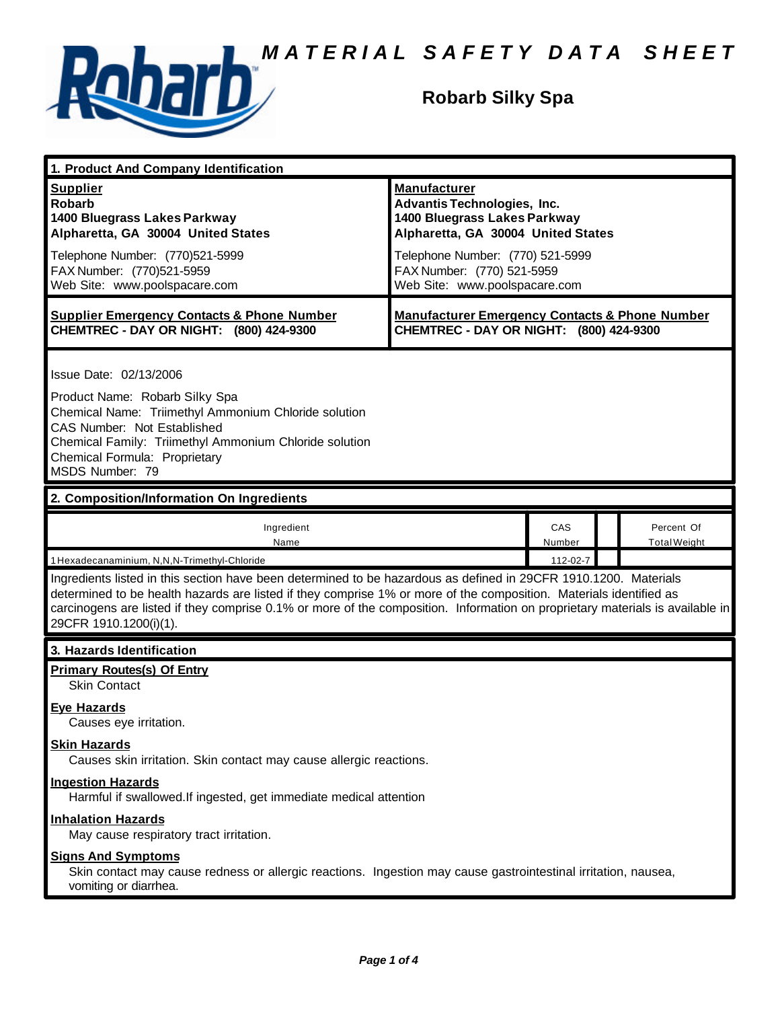

# **Robarb Silky Spa**

| 1. Product And Company Identification                                                                                                                                                                                                                                                                                                                                                             |                                                                                                                                                                                                                                    |               |  |                                   |
|---------------------------------------------------------------------------------------------------------------------------------------------------------------------------------------------------------------------------------------------------------------------------------------------------------------------------------------------------------------------------------------------------|------------------------------------------------------------------------------------------------------------------------------------------------------------------------------------------------------------------------------------|---------------|--|-----------------------------------|
| <b>Supplier</b><br><b>Robarb</b><br>1400 Bluegrass Lakes Parkway<br>Alpharetta, GA 30004 United States<br>Telephone Number: (770)521-5999<br>FAX Number: (770)521-5959<br>Web Site: www.poolspacare.com                                                                                                                                                                                           | <b>Manufacturer</b><br><b>Advantis Technologies, Inc.</b><br>1400 Bluegrass Lakes Parkway<br>Alpharetta, GA 30004 United States<br>Telephone Number: (770) 521-5999<br>FAX Number: (770) 521-5959<br>Web Site: www.poolspacare.com |               |  |                                   |
| <b>Supplier Emergency Contacts &amp; Phone Number</b><br>CHEMTREC - DAY OR NIGHT: (800) 424-9300                                                                                                                                                                                                                                                                                                  | <b>Manufacturer Emergency Contacts &amp; Phone Number</b><br>CHEMTREC - DAY OR NIGHT: (800) 424-9300                                                                                                                               |               |  |                                   |
| Issue Date: 02/13/2006<br>Product Name: Robarb Silky Spa<br>Chemical Name: Triimethyl Ammonium Chloride solution<br>CAS Number: Not Established<br>Chemical Family: Triimethyl Ammonium Chloride solution<br>Chemical Formula: Proprietary<br>MSDS Number: 79                                                                                                                                     |                                                                                                                                                                                                                                    |               |  |                                   |
| 2. Composition/Information On Ingredients                                                                                                                                                                                                                                                                                                                                                         |                                                                                                                                                                                                                                    |               |  |                                   |
| Ingredient<br>Name                                                                                                                                                                                                                                                                                                                                                                                |                                                                                                                                                                                                                                    | CAS<br>Number |  | Percent Of<br><b>Total Weight</b> |
| 1 Hexadecanaminium, N,N,N-Trimethyl-Chloride                                                                                                                                                                                                                                                                                                                                                      |                                                                                                                                                                                                                                    | 112-02-7      |  |                                   |
| Ingredients listed in this section have been determined to be hazardous as defined in 29CFR 1910.1200. Materials<br>determined to be health hazards are listed if they comprise 1% or more of the composition. Materials identified as<br>carcinogens are listed if they comprise 0.1% or more of the composition. Information on proprietary materials is available in<br>29CFR 1910.1200(i)(1). |                                                                                                                                                                                                                                    |               |  |                                   |
| 3. Hazards Identification                                                                                                                                                                                                                                                                                                                                                                         |                                                                                                                                                                                                                                    |               |  |                                   |
| <b>Primary Routes(s) Of Entry</b><br><b>Skin Contact</b><br><b>Eye Hazards</b><br>Causes eve irritation.<br><b>Skin Hazards</b><br>Causes skin irritation. Skin contact may cause allergic reactions.                                                                                                                                                                                             |                                                                                                                                                                                                                                    |               |  |                                   |
| <b>Ingestion Hazards</b><br>Harmful if swallowed. If ingested, get immediate medical attention                                                                                                                                                                                                                                                                                                    |                                                                                                                                                                                                                                    |               |  |                                   |
| <b>Inhalation Hazards</b><br>May cause respiratory tract irritation.                                                                                                                                                                                                                                                                                                                              |                                                                                                                                                                                                                                    |               |  |                                   |
| <b>Signs And Symptoms</b><br>Skin contact may cause redness or allergic reactions. Ingestion may cause gastrointestinal irritation, nausea,<br>vomiting or diarrhea.                                                                                                                                                                                                                              |                                                                                                                                                                                                                                    |               |  |                                   |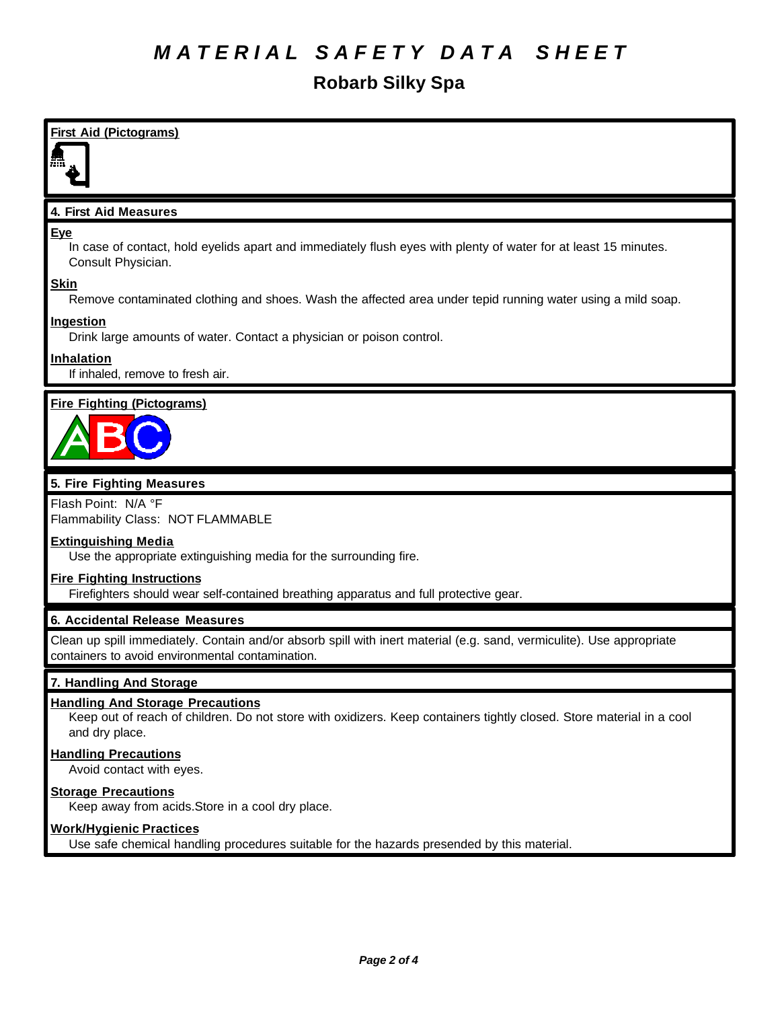# *M A T E R I A L S A F E T Y D A T A S H E E T*

# **Robarb Silky Spa**

| <b>First Aid (Pictograms)</b>                                                                                                                       |
|-----------------------------------------------------------------------------------------------------------------------------------------------------|
| 4. First Aid Measures                                                                                                                               |
| <b>Eye</b><br>In case of contact, hold eyelids apart and immediately flush eyes with plenty of water for at least 15 minutes.<br>Consult Physician. |
| <b>Skin</b><br>Remove contaminated clothing and shoes. Wash the affected area under tepid running water using a mild soap.                          |
| Ingestion<br>Drink large amounts of water. Contact a physician or poison control.                                                                   |
| <b>Inhalation</b><br>If inhaled, remove to fresh air.                                                                                               |
| <b>Fire Fighting (Pictograms)</b>                                                                                                                   |
| 5. Fire Fighting Measures                                                                                                                           |
| Flash Point: N/A °F<br>$\Box$ ommobility Closo: $\Box$ OT ELAMMADLE                                                                                 |

Flammability Class: NOT FLAMMABLE

### **Extinguishing Media**

Use the appropriate extinguishing media for the surrounding fire.

### **Fire Fighting Instructions**

Firefighters should wear self-contained breathing apparatus and full protective gear.

## **6. Accidental Release Measures**

Clean up spill immediately. Contain and/or absorb spill with inert material (e.g. sand, vermiculite). Use appropriate containers to avoid environmental contamination.

### **7. Handling And Storage**

### **Handling And Storage Precautions**

Keep out of reach of children. Do not store with oxidizers. Keep containers tightly closed. Store material in a cool and dry place.

#### **Handling Precautions**

Avoid contact with eyes.

## **Storage Precautions**

Keep away from acids.Store in a cool dry place.

### **Work/Hygienic Practices**

Use safe chemical handling procedures suitable for the hazards presended by this material.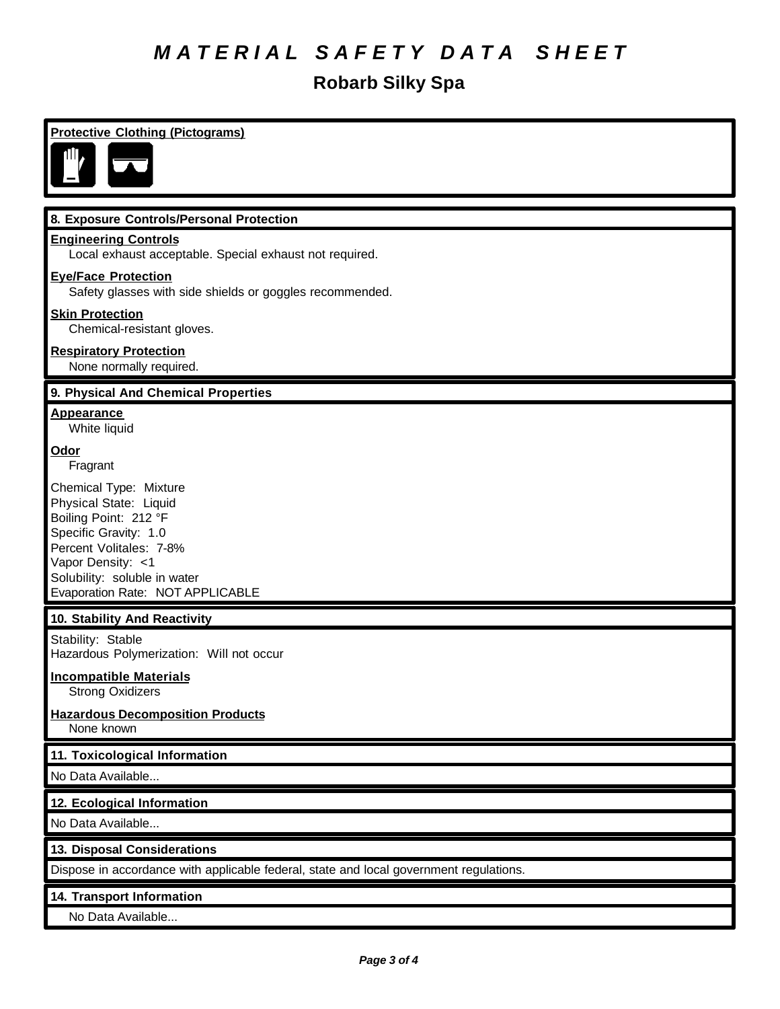# *M A T E R I A L S A F E T Y D A T A S H E E T*

# **Robarb Silky Spa**

| <b>Protective Clothing (Pictograms)</b>                                                                                                                                                                                |
|------------------------------------------------------------------------------------------------------------------------------------------------------------------------------------------------------------------------|
|                                                                                                                                                                                                                        |
| 8. Exposure Controls/Personal Protection                                                                                                                                                                               |
| <b>Engineering Controls</b><br>Local exhaust acceptable. Special exhaust not required.                                                                                                                                 |
| <b>Eye/Face Protection</b><br>Safety glasses with side shields or goggles recommended.                                                                                                                                 |
| <b>Skin Protection</b><br>Chemical-resistant gloves.                                                                                                                                                                   |
| <b>Respiratory Protection</b><br>None normally required.                                                                                                                                                               |
| 9. Physical And Chemical Properties                                                                                                                                                                                    |
| <b>Appearance</b><br>White liquid                                                                                                                                                                                      |
| Odor<br>Fragrant                                                                                                                                                                                                       |
| Chemical Type: Mixture<br>Physical State: Liquid<br>Boiling Point: 212 °F<br>Specific Gravity: 1.0<br>Percent Volitales: 7-8%<br>Vapor Density: <1<br>Solubility: soluble in water<br>Evaporation Rate: NOT APPLICABLE |
| 10. Stability And Reactivity                                                                                                                                                                                           |
| Stability: Stable<br>Hazardous Polymerization: Will not occur                                                                                                                                                          |
| <b>Incompatible Materials</b><br><b>Strong Oxidizers</b>                                                                                                                                                               |
| <b>Hazardous Decomposition Products</b><br>None known                                                                                                                                                                  |
| 11. Toxicological Information                                                                                                                                                                                          |
| No Data Available                                                                                                                                                                                                      |
| 12. Ecological Information                                                                                                                                                                                             |
| No Data Available                                                                                                                                                                                                      |
| 13. Disposal Considerations                                                                                                                                                                                            |
| Dispose in accordance with applicable federal, state and local government regulations.                                                                                                                                 |
| 14. Transport Information                                                                                                                                                                                              |
| No Data Available                                                                                                                                                                                                      |